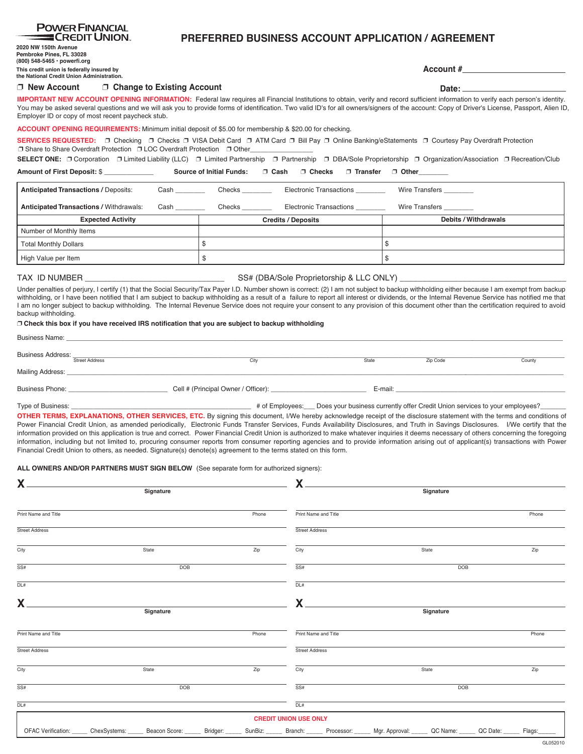| Amount of First Deposit: \$ ____________                                                                                                                                                                                                                                                                                                                                                                                                                                                                                                                                                                            | <b>Source of Initial Funds:</b><br>∩ Cash<br>$\Box$ Checks<br><b>Transfer</b><br>$\Box$ Other |        |                                  |                      |        |  |  |  |
|---------------------------------------------------------------------------------------------------------------------------------------------------------------------------------------------------------------------------------------------------------------------------------------------------------------------------------------------------------------------------------------------------------------------------------------------------------------------------------------------------------------------------------------------------------------------------------------------------------------------|-----------------------------------------------------------------------------------------------|--------|----------------------------------|----------------------|--------|--|--|--|
| <b>Anticipated Transactions / Deposits:</b>                                                                                                                                                                                                                                                                                                                                                                                                                                                                                                                                                                         |                                                                                               | Checks | Electronic Transactions ________ | Wire Transfers       |        |  |  |  |
| <b>Anticipated Transactions / Withdrawals:</b>                                                                                                                                                                                                                                                                                                                                                                                                                                                                                                                                                                      | Cash                                                                                          | Checks | Electronic Transactions ________ | Wire Transfers _     |        |  |  |  |
| <b>Expected Activity</b>                                                                                                                                                                                                                                                                                                                                                                                                                                                                                                                                                                                            |                                                                                               |        | <b>Credits / Deposits</b>        | Debits / Withdrawals |        |  |  |  |
| Number of Monthly Items                                                                                                                                                                                                                                                                                                                                                                                                                                                                                                                                                                                             |                                                                                               |        |                                  |                      |        |  |  |  |
| <b>Total Monthly Dollars</b>                                                                                                                                                                                                                                                                                                                                                                                                                                                                                                                                                                                        |                                                                                               | \$     |                                  | $\mathbb{S}$         |        |  |  |  |
| High Value per Item                                                                                                                                                                                                                                                                                                                                                                                                                                                                                                                                                                                                 |                                                                                               | $\$$   |                                  | \$                   |        |  |  |  |
| TAX ID NUMBER                                                                                                                                                                                                                                                                                                                                                                                                                                                                                                                                                                                                       | <u> 1990 - Johann Barbara, martin a</u>                                                       |        |                                  |                      |        |  |  |  |
| Under penalties of perjury, I certify (1) that the Social Security/Tax Payer I.D. Number shown is correct: (2) I am not subject to backup withholding either because I am exempt from backup<br>withholding, or I have been notified that I am subject to backup withholding as a result of a failure to report all interest or dividends, or the Internal Revenue Service has notified me that<br>I am no longer subject to backup withholding. The Internal Revenue Service does not require your consent to any provision of this document other than the certification required to avoid<br>backup withholding. |                                                                                               |        |                                  |                      |        |  |  |  |
| □ Check this box if you have received IRS notification that you are subject to backup withholding                                                                                                                                                                                                                                                                                                                                                                                                                                                                                                                   |                                                                                               |        |                                  |                      |        |  |  |  |
|                                                                                                                                                                                                                                                                                                                                                                                                                                                                                                                                                                                                                     |                                                                                               |        |                                  |                      |        |  |  |  |
| Business Address: <b>Street Address</b>                                                                                                                                                                                                                                                                                                                                                                                                                                                                                                                                                                             |                                                                                               | City   |                                  | State<br>Zip Code    | County |  |  |  |
| Mailing Address: Note that the control of the control of the control of the control of the control of the control of the control of the control of the control of the control of the control of the control of the control of                                                                                                                                                                                                                                                                                                                                                                                       |                                                                                               |        |                                  |                      |        |  |  |  |
|                                                                                                                                                                                                                                                                                                                                                                                                                                                                                                                                                                                                                     |                                                                                               |        |                                  |                      |        |  |  |  |
| information provided on this application is true and correct. Power Financial Credit Union is authorized to make whatever inquiries it deems necessary of others concerning the foregoing<br>information, including but not limited to, procuring consumer reports from consumer reporting agencies and to provide information arising out of applicant(s) transactions with Power<br>Financial Credit Union to others, as needed. Signature(s) denote(s) agreement to the terms stated on this form.<br><b>ALL OWNERS AND/OR PARTNERS MUST SIGN BELOW</b> (See separate form for authorized signers):              |                                                                                               |        |                                  |                      |        |  |  |  |
| X                                                                                                                                                                                                                                                                                                                                                                                                                                                                                                                                                                                                                   | Signature                                                                                     |        |                                  | Signature            |        |  |  |  |
|                                                                                                                                                                                                                                                                                                                                                                                                                                                                                                                                                                                                                     |                                                                                               |        |                                  |                      |        |  |  |  |
| Print Name and Title                                                                                                                                                                                                                                                                                                                                                                                                                                                                                                                                                                                                |                                                                                               | Phone  | Print Name and Title             |                      | Phone  |  |  |  |
| <b>Street Address</b>                                                                                                                                                                                                                                                                                                                                                                                                                                                                                                                                                                                               |                                                                                               |        | <b>Street Address</b>            |                      |        |  |  |  |
| City                                                                                                                                                                                                                                                                                                                                                                                                                                                                                                                                                                                                                | State                                                                                         | Zip    | City                             | State                | Zip    |  |  |  |
| SS#                                                                                                                                                                                                                                                                                                                                                                                                                                                                                                                                                                                                                 | <b>DOB</b>                                                                                    |        | SS#                              | <b>DOB</b>           |        |  |  |  |
| DL#                                                                                                                                                                                                                                                                                                                                                                                                                                                                                                                                                                                                                 |                                                                                               |        | $\overline{DL#}$                 |                      |        |  |  |  |
| х                                                                                                                                                                                                                                                                                                                                                                                                                                                                                                                                                                                                                   |                                                                                               |        |                                  |                      |        |  |  |  |
|                                                                                                                                                                                                                                                                                                                                                                                                                                                                                                                                                                                                                     | <b>Signature</b>                                                                              |        |                                  | Signature            |        |  |  |  |
| Print Name and Title                                                                                                                                                                                                                                                                                                                                                                                                                                                                                                                                                                                                |                                                                                               | Phone  | Print Name and Title             |                      | Phone  |  |  |  |
| <b>Street Address</b>                                                                                                                                                                                                                                                                                                                                                                                                                                                                                                                                                                                               |                                                                                               |        | <b>Street Address</b>            |                      |        |  |  |  |
| City                                                                                                                                                                                                                                                                                                                                                                                                                                                                                                                                                                                                                | State                                                                                         | Zip    | City                             | State                | Zip    |  |  |  |

# ❐ **New Account** ❐ **Change to Existing Account**

**2020 NW 150th Avenue Pembroke Pines, FL 33028 (800) 548-5465 • powerfi.org**

**This credit union is federally insured by the National Credit Union Administration.**

SS# DOB

DL#

**IMPORTANT NEW ACCOUNT OPENING INFORMATION:** Federal law requires all Financial Institutions to obtain, verify and record sufficient information to verify each person's identity. You may be asked several questions and we will ask you to provide forms of identification. Two valid ID's for all owners/signers of the account: Copy of Driver's License, Passport, Alien ID, Employer ID or copy of most recent paycheck stub.

## **ACCOUNT OPENING REQUIREMENTS:** Minimum initial deposit of \$5.00 for membership & \$20.00 for checking.

SERVICES REQUESTED: **□** Checking □ Checks □ VISA Debit Card □ ATM Card □ Bill Pay □ Online Banking/eStatements □ Courtesy Pay Overdraft Protection  ❐ Share to Share Overdraft Protection ❐ LOC Overdraft Protection ❐ Other\_\_\_\_\_\_\_\_\_\_\_\_\_\_\_\_\_

SELECT ONE: **□** Corporation □ Limited Liability (LLC) □ Limited Partnership □ Partnership □ DBA/Sole Proprietorship □ Organization/Association □ Recreation/Club

#### **POWER FINANCIAL ECREDIT UNION. PREFERRED BUSINESS ACCOUNT APPLICATION / AGREEMENT**

**Date:**

| OFAC Verification: ChexSystems: Beacon Score: Bridger: SunBiz: Branch: |  |  |  |  |  | Processor: | Mgr. Approval: | QC Name: | QC Date: | Flags: |
|------------------------------------------------------------------------|--|--|--|--|--|------------|----------------|----------|----------|--------|
|------------------------------------------------------------------------|--|--|--|--|--|------------|----------------|----------|----------|--------|

**CREDIT UNION USE ONLY**

 $DL#$ 

SS# DOB

**Account #**